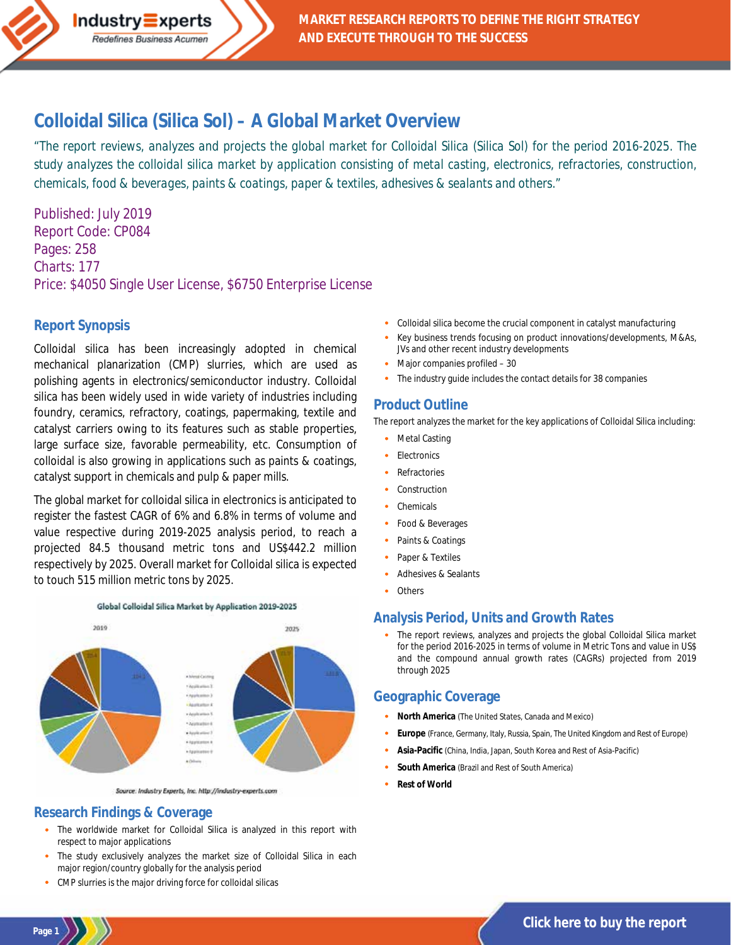# **[Colloidal Silica \(Silica Sol\) –](http://industry-experts.com/verticals/chemicals-and-materials/colloidal-silica-silica-sol-a-global-market-overview) A Global Market Overview**

*"The report reviews, analyzes and projects the global market for Colloidal Silica (Silica Sol) for the period 2016-2025. The study analyzes the colloidal silica market by application consisting of metal casting, electronics, refractories, construction, chemicals, food & beverages, paints & coatings, paper & textiles, adhesives & sealants and others."*

Published: July 2019 Report Code: CP084 Pages: 258 Charts: 177 Price: \$4050 Single User License, \$6750 Enterprise License

 $Industry\equiv xperts$ Redefines Business Acumen

### **Report Synopsis**

Colloidal silica has been increasingly adopted in chemical mechanical planarization (CMP) slurries, which are used as polishing agents in electronics/semiconductor industry. Colloidal silica has been widely used in wide variety of industries including foundry, ceramics, refractory, coatings, papermaking, textile and catalyst carriers owing to its features such as stable properties, large surface size, favorable permeability, etc. Consumption of colloidal is also growing in applications such as paints & coatings, catalyst support in chemicals and pulp & paper mills.

The global market for colloidal silica in electronics is anticipated to register the fastest CAGR of 6% and 6.8% in terms of volume and value respective during 2019-2025 analysis period, to reach a projected 84.5 thousand metric tons and US\$442.2 million respectively by 2025. Overall market for Colloidal silica is expected to touch 515 million metric tons by 2025.



Source: Industry Experts, Inc. http://industry-experts.com

#### **Research Findings & Coverage**

**Page 1**

- The worldwide market for Colloidal Silica is analyzed in this report with respect to major applications
- The study exclusively analyzes the market size of Colloidal Silica in each major region/country globally for the analysis period
- · CMP slurries is the major driving force for colloidal silicas
- Colloidal silica become the crucial component in catalyst manufacturing
- Key business trends focusing on product innovations/developments, M&As, JVs and other recent industry developments
- Major companies profiled 30
- The industry guide includes the contact details for 38 companies

#### **Product Outline**

The report analyzes the market for the key applications of Colloidal Silica including:

- **Metal Casting**
- **Electronics**
- **Refractories**
- **Construction**
- **Chemicals**
- Food & Beverages
- Paints & Coatings
- Paper & Textiles
- Adhesives & Sealants
- Others

#### **Analysis Period, Units and Growth Rates**

The report reviews, analyzes and projects the global Colloidal Silica market for the period 2016-2025 in terms of volume in Metric Tons and value in US\$ and the compound annual growth rates (CAGRs) projected from 2019 through 2025

#### **Geographic Coverage**

- · **North America** (The United States, Canada and Mexico)
- · **Europe** (France, Germany, Italy, Russia, Spain, The United Kingdom and Rest of Europe)
- · **Asia-Pacific** (China, India, Japan, South Korea and Rest of Asia-Pacific)
- South America (Brazil and Rest of South America)
- **Rest of World**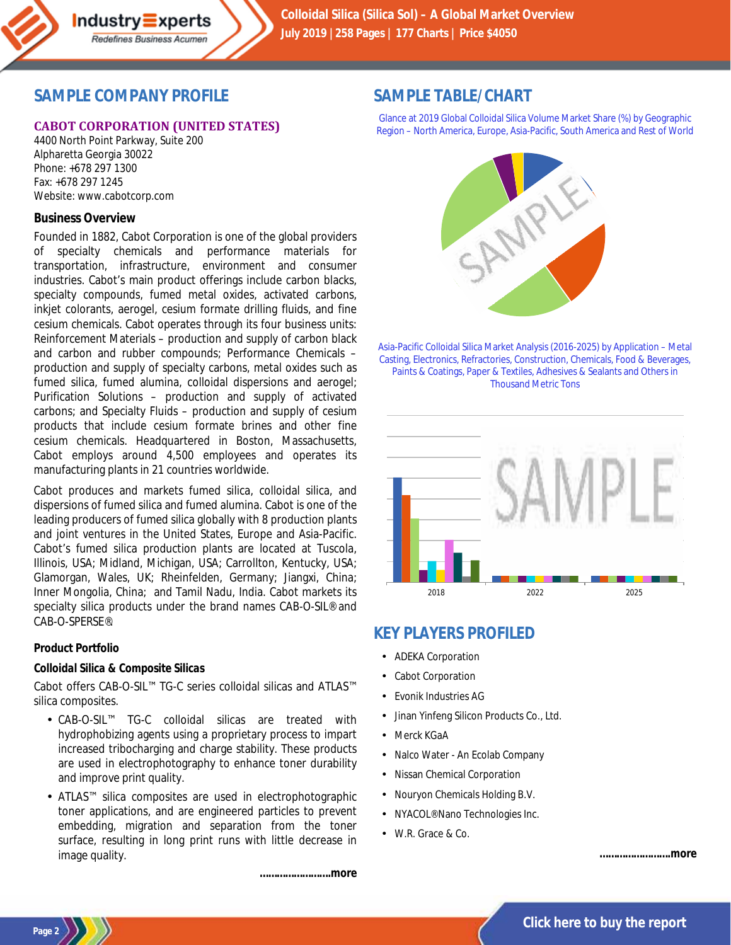

# **SAMPLE COMPANY PROFILE**

### **CABOT CORPORATION (UNITED STATES)**

4400 North Point Parkway, Suite 200 Alpharetta Georgia 30022 Phone: +678 297 1300 Fax: +678 297 1245 Website: www.cabotcorp.com

#### **Business Overview**

Founded in 1882, Cabot Corporation is one of the global providers of specialty chemicals and performance materials for transportation, infrastructure, environment and consumer industries. Cabot's main product offerings include carbon blacks, specialty compounds, fumed metal oxides, activated carbons, inkjet colorants, aerogel, cesium formate drilling fluids, and fine cesium chemicals. Cabot operates through its four business units: Reinforcement Materials – production and supply of carbon black and carbon and rubber compounds; Performance Chemicals – production and supply of specialty carbons, metal oxides such as fumed silica, fumed alumina, colloidal dispersions and aerogel; Purification Solutions – production and supply of activated carbons; and Specialty Fluids – production and supply of cesium products that include cesium formate brines and other fine cesium chemicals. Headquartered in Boston, Massachusetts, Cabot employs around 4,500 employees and operates its manufacturing plants in 21 countries worldwide.

Cabot produces and markets fumed silica, colloidal silica, and dispersions of fumed silica and fumed alumina. Cabot is one of the leading producers of fumed silica globally with 8 production plants and joint ventures in the United States, Europe and Asia-Pacific. Cabot's fumed silica production plants are located at Tuscola, Illinois, USA; Midland, Michigan, USA; Carrollton, Kentucky, USA; Glamorgan, Wales, UK; Rheinfelden, Germany; Jiangxi, China; Inner Mongolia, China; and Tamil Nadu, India. Cabot markets its specialty silica products under the brand names CAB-O-SIL<sup>®</sup> and CAB-O-SPERSE®.

#### **Product Portfolio**

#### *Colloidal Silica & Composite Silicas*

Cabot offers CAB-O-SIL™ TG-C series colloidal silicas and ATLAS™ silica composites.

- CAB-O-SIL™ TG-C colloidal silicas are treated with hydrophobizing agents using a proprietary process to impart increased tribocharging and charge stability. These products are used in electrophotography to enhance toner durability and improve print quality.
- ATLAS™ silica composites are used in electrophotographic toner applications, and are engineered particles to prevent embedding, migration and separation from the toner surface, resulting in long print runs with little decrease in image quality.

*…………………….more*

## **SAMPLE TABLE/CHART**

Glance at 2019 Global Colloidal Silica Volume Market Share (%) by Geographic Region – North America, Europe, Asia-Pacific, South America and Rest of World



Asia-Pacific Colloidal Silica Market Analysis (2016-2025) by Application – Metal Casting, Electronics, Refractories, Construction, Chemicals, Food & Beverages, Paints & Coatings, Paper & Textiles, Adhesives & Sealants and Others in Thousand Metric Tons



## **KEY PLAYERS PROFILED**

- ADEKA Corporation
- Cabot Corporation
- Evonik Industries AG
- Jinan Yinfeng Silicon Products Co., Ltd.
- Merck KGaA
- Nalco Water An Ecolab Company
- Nissan Chemical Corporation
- Nouryon Chemicals Holding B.V.
- NYACOL® Nano Technologies Inc.
- W.R. Grace & Co.

*…………………….more*

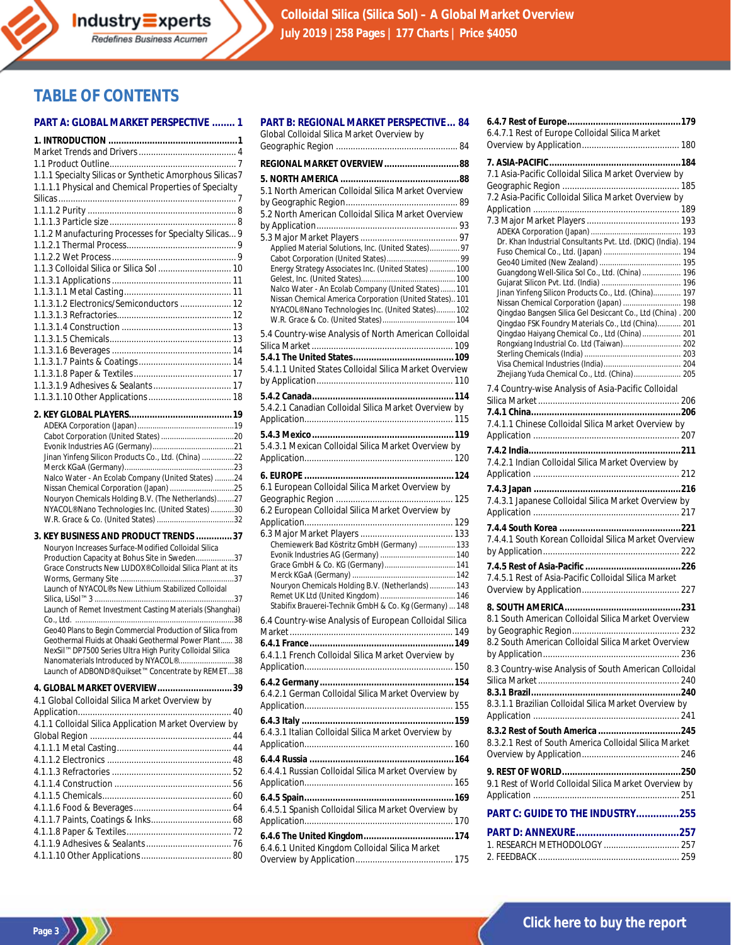

**Colloidal Silica (Silica Sol) – A Global Market Overview July 2019 |258 Pages | 177 Charts | Price \$4050**

# **TABLE OF CONTENTS**

#### **PART A: GLOBAL MARKET PERSPECTIVE ........ 1 PART B: REGIONAL MARKET PERSPECTIVE... 84**

| 1.1.1 Specialty Silicas or Synthetic Amorphous Silicas 7  |  |
|-----------------------------------------------------------|--|
| 1.1.1.1 Physical and Chemical Properties of Specialty     |  |
|                                                           |  |
|                                                           |  |
|                                                           |  |
| 1.1.2 Manufacturing Processes for Specialty Silicas 9     |  |
|                                                           |  |
|                                                           |  |
|                                                           |  |
| 1.1.3 Colloidal Silica or Silica Sol  10                  |  |
|                                                           |  |
|                                                           |  |
| 1.1.3.1.2 Electronics/Semiconductors  12                  |  |
|                                                           |  |
|                                                           |  |
|                                                           |  |
|                                                           |  |
|                                                           |  |
|                                                           |  |
|                                                           |  |
|                                                           |  |
|                                                           |  |
|                                                           |  |
|                                                           |  |
|                                                           |  |
|                                                           |  |
| Jinan Yinfeng Silicon Products Co., Ltd. (China) 22       |  |
|                                                           |  |
| Nalco Water - An Ecolab Company (United States) 24        |  |
| Nouryon Chemicals Holding B.V. (The Netherlands)27        |  |
| NYACOL® Nano Technologies Inc. (United States) 30         |  |
|                                                           |  |
|                                                           |  |
| 3. KEY BUSINESS AND PRODUCT TRENDS 37                     |  |
| Nouryon Increases Surface-Modified Colloidal Silica       |  |
| Production Capacity at Bohus Site in Sweden37             |  |
| Grace Constructs New LUDOX® Colloidal Silica Plant at its |  |
| Launch of NYACOL®'s New Lithium Stabilized Colloidal      |  |
|                                                           |  |
| Launch of Remet Investment Casting Materials (Shanghai)   |  |
|                                                           |  |
| Geo40 Plans to Begin Commercial Production of Silica from |  |
| Geothermal Fluids at Ohaaki Geothermal Power Plant 38     |  |
| NexSil™ DP7500 Series Ultra High Purity Colloidal Silica  |  |
| Nanomaterials Introduced by NYACOL® 38                    |  |
| Launch of ADBOND® Quikset™ Concentrate by REMET38         |  |
| 4. GLOBAL MARKET OVERVIEW39                               |  |
| 4.1 Global Colloidal Silica Market Overview by            |  |
|                                                           |  |
|                                                           |  |
| 4.1.1 Colloidal Silica Application Market Overview by     |  |
|                                                           |  |
|                                                           |  |
|                                                           |  |
|                                                           |  |
|                                                           |  |
|                                                           |  |
|                                                           |  |
|                                                           |  |
|                                                           |  |
|                                                           |  |
|                                                           |  |
|                                                           |  |

Page 3

| Global Colloidal Silica Market Overview by                                                                                                                            |
|-----------------------------------------------------------------------------------------------------------------------------------------------------------------------|
|                                                                                                                                                                       |
| REGIONAL MARKET OVERVIEW88                                                                                                                                            |
| 5.1 North American Colloidal Silica Market Overview                                                                                                                   |
| 5.2 North American Colloidal Silica Market Overview                                                                                                                   |
|                                                                                                                                                                       |
| Applied Material Solutions, Inc. (United States) 97<br>Energy Strategy Associates Inc. (United States)  100                                                           |
|                                                                                                                                                                       |
| Nalco Water - An Ecolab Company (United States)  101<br>Nissan Chemical America Corporation (United States) 101<br>NYACOL® Nano Technologies Inc. (United States) 102 |
| 5.4 Country-wise Analysis of North American Colloidal                                                                                                                 |
|                                                                                                                                                                       |
| 5.4.1.1 United States Colloidal Silica Market Overview                                                                                                                |
|                                                                                                                                                                       |
| 5.4.2.1 Canadian Colloidal Silica Market Overview by                                                                                                                  |
|                                                                                                                                                                       |
| 5.4.3.1 Mexican Colloidal Silica Market Overview by                                                                                                                   |
| 6.1 European Colloidal Silica Market Overview by                                                                                                                      |
|                                                                                                                                                                       |
| 6.2 European Colloidal Silica Market Overview by                                                                                                                      |
| Chemiewerk Bad Köstritz GmbH (Germany)  133                                                                                                                           |
| Grace GmbH & Co. KG (Germany) 141                                                                                                                                     |
|                                                                                                                                                                       |
| Nouryon Chemicals Holding B.V. (Netherlands)  143                                                                                                                     |
| Stabifix Brauerei-Technik GmbH & Co. Kg (Germany)  148                                                                                                                |
| 6.4 Country-wise Analysis of European Colloidal Silica                                                                                                                |
|                                                                                                                                                                       |
| 6.4.1.1 French Colloidal Silica Market Overview by                                                                                                                    |
|                                                                                                                                                                       |
| 6.4.2.1 German Colloidal Silica Market Overview by                                                                                                                    |
| 6.4.3.1 Italian Colloidal Silica Market Overview by                                                                                                                   |
|                                                                                                                                                                       |
| 6.4.4.1 Russian Colloidal Silica Market Overview by                                                                                                                   |
|                                                                                                                                                                       |
| 6.4.5.1 Spanish Colloidal Silica Market Overview by                                                                                                                   |
|                                                                                                                                                                       |
| 6.4.6.1 United Kingdom Colloidal Silica Market                                                                                                                        |
|                                                                                                                                                                       |

| 6.4.7.1 Rest of Europe Colloidal Silica Market                                                       |  |
|------------------------------------------------------------------------------------------------------|--|
|                                                                                                      |  |
| 7.1 Asia-Pacific Colloidal Silica Market Overview by                                                 |  |
|                                                                                                      |  |
| 7.2 Asia-Pacific Colloidal Silica Market Overview by                                                 |  |
|                                                                                                      |  |
|                                                                                                      |  |
|                                                                                                      |  |
| Dr. Khan Industrial Consultants Pvt. Ltd. (DKIC) (India). 194                                        |  |
|                                                                                                      |  |
| Guangdong Well-Silica Sol Co., Ltd. (China)  196                                                     |  |
|                                                                                                      |  |
| Jinan Yinfeng Silicon Products Co., Ltd. (China) 197                                                 |  |
| Nissan Chemical Corporation (Japan)  198                                                             |  |
| Qingdao Bangsen Silica Gel Desiccant Co., Ltd (China). 200                                           |  |
| Qingdao FSK Foundry Materials Co., Ltd (China) 201<br>Qingdao Haiyang Chemical Co., Ltd (China)  201 |  |
| Rongxiang Industrial Co. Ltd (Taiwan) 202                                                            |  |
|                                                                                                      |  |
|                                                                                                      |  |
| Zhejiang Yuda Chemical Co., Ltd. (China) 205                                                         |  |
| 7.4 Country-wise Analysis of Asia-Pacific Colloidal                                                  |  |
|                                                                                                      |  |
|                                                                                                      |  |
| 7.4.1.1 Chinese Colloidal Silica Market Overview by                                                  |  |
|                                                                                                      |  |
|                                                                                                      |  |
| 7.4.2.1 Indian Colloidal Silica Market Overview by                                                   |  |
|                                                                                                      |  |
|                                                                                                      |  |
|                                                                                                      |  |
| 7.4.3.1 Japanese Colloidal Silica Market Overview by                                                 |  |
|                                                                                                      |  |
|                                                                                                      |  |
| 7.4.4.1 South Korean Colloidal Silica Market Overview                                                |  |
|                                                                                                      |  |
|                                                                                                      |  |
| 7.4.5.1 Rest of Asia-Pacific Colloidal Silica Market                                                 |  |
|                                                                                                      |  |
|                                                                                                      |  |
| 8.1 South American Colloidal Silica Market Overview                                                  |  |
|                                                                                                      |  |
| 8.2 South American Colloidal Silica Market Overview                                                  |  |
|                                                                                                      |  |
|                                                                                                      |  |
| 8.3 Country-wise Analysis of South American Colloidal                                                |  |
|                                                                                                      |  |
|                                                                                                      |  |
| 8.3.1.1 Brazilian Colloidal Silica Market Overview by                                                |  |
|                                                                                                      |  |
|                                                                                                      |  |
| 8.3.2.1 Rest of South America Colloidal Silica Market                                                |  |
|                                                                                                      |  |
|                                                                                                      |  |
| 9.1 Rest of World Colloidal Silica Market Overview by                                                |  |
|                                                                                                      |  |
|                                                                                                      |  |
| PART C: GUIDE TO THE INDUSTRY255                                                                     |  |
|                                                                                                      |  |
|                                                                                                      |  |
|                                                                                                      |  |